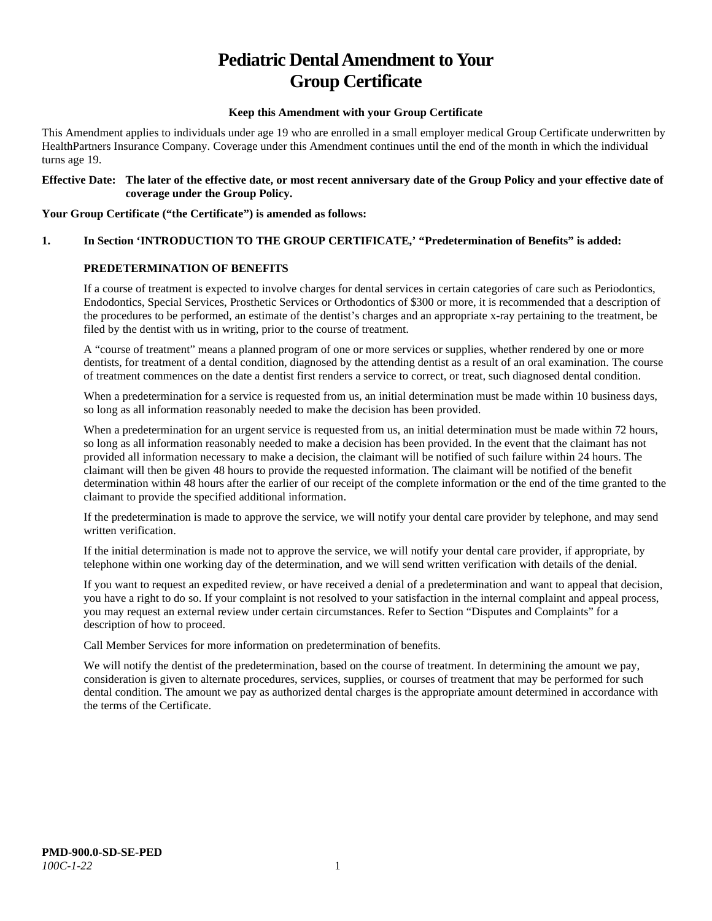# **Pediatric Dental Amendment to Your Group Certificate**

#### **Keep this Amendment with your Group Certificate**

This Amendment applies to individuals under age 19 who are enrolled in a small employer medical Group Certificate underwritten by HealthPartners Insurance Company. Coverage under this Amendment continues until the end of the month in which the individual turns age 19.

#### **Effective Date: The later of the effective date, or most recent anniversary date of the Group Policy and your effective date of coverage under the Group Policy.**

#### **Your Group Certificate ("the Certificate") is amended as follows:**

# **1. In Section 'INTRODUCTION TO THE GROUP CERTIFICATE,' "Predetermination of Benefits" is added:**

#### **PREDETERMINATION OF BENEFITS**

If a course of treatment is expected to involve charges for dental services in certain categories of care such as Periodontics, Endodontics, Special Services, Prosthetic Services or Orthodontics of \$300 or more, it is recommended that a description of the procedures to be performed, an estimate of the dentist's charges and an appropriate x-ray pertaining to the treatment, be filed by the dentist with us in writing, prior to the course of treatment.

A "course of treatment" means a planned program of one or more services or supplies, whether rendered by one or more dentists, for treatment of a dental condition, diagnosed by the attending dentist as a result of an oral examination. The course of treatment commences on the date a dentist first renders a service to correct, or treat, such diagnosed dental condition.

When a predetermination for a service is requested from us, an initial determination must be made within 10 business days, so long as all information reasonably needed to make the decision has been provided.

When a predetermination for an urgent service is requested from us, an initial determination must be made within 72 hours, so long as all information reasonably needed to make a decision has been provided. In the event that the claimant has not provided all information necessary to make a decision, the claimant will be notified of such failure within 24 hours. The claimant will then be given 48 hours to provide the requested information. The claimant will be notified of the benefit determination within 48 hours after the earlier of our receipt of the complete information or the end of the time granted to the claimant to provide the specified additional information.

If the predetermination is made to approve the service, we will notify your dental care provider by telephone, and may send written verification.

If the initial determination is made not to approve the service, we will notify your dental care provider, if appropriate, by telephone within one working day of the determination, and we will send written verification with details of the denial.

If you want to request an expedited review, or have received a denial of a predetermination and want to appeal that decision, you have a right to do so. If your complaint is not resolved to your satisfaction in the internal complaint and appeal process, you may request an external review under certain circumstances. Refer to Section "Disputes and Complaints" for a description of how to proceed.

Call Member Services for more information on predetermination of benefits.

We will notify the dentist of the predetermination, based on the course of treatment. In determining the amount we pay, consideration is given to alternate procedures, services, supplies, or courses of treatment that may be performed for such dental condition. The amount we pay as authorized dental charges is the appropriate amount determined in accordance with the terms of the Certificate.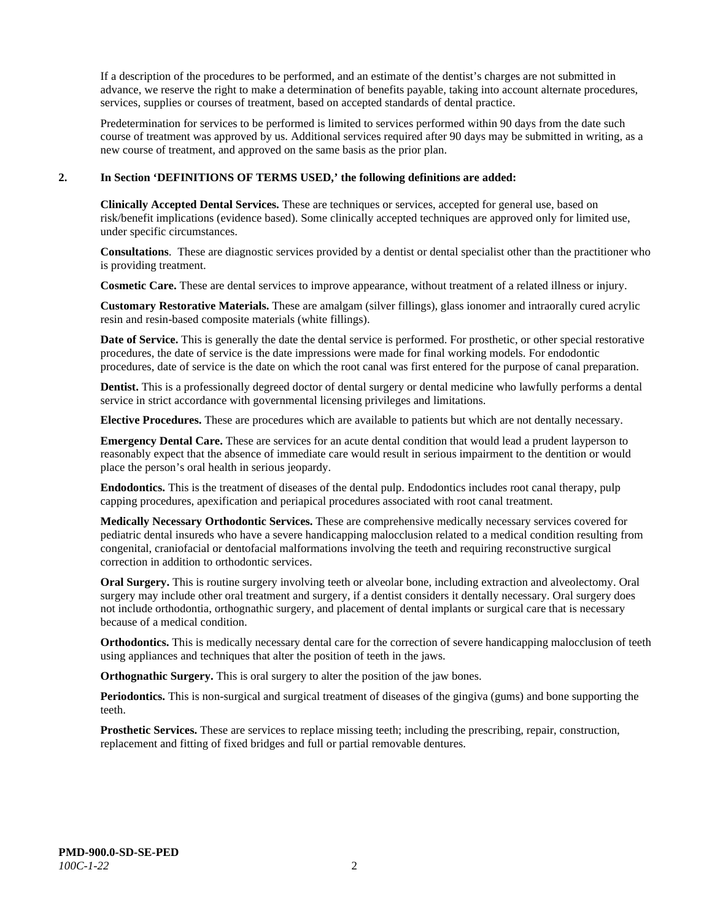If a description of the procedures to be performed, and an estimate of the dentist's charges are not submitted in advance, we reserve the right to make a determination of benefits payable, taking into account alternate procedures, services, supplies or courses of treatment, based on accepted standards of dental practice.

Predetermination for services to be performed is limited to services performed within 90 days from the date such course of treatment was approved by us. Additional services required after 90 days may be submitted in writing, as a new course of treatment, and approved on the same basis as the prior plan.

#### **2. In Section 'DEFINITIONS OF TERMS USED,' the following definitions are added:**

**Clinically Accepted Dental Services.** These are techniques or services, accepted for general use, based on risk/benefit implications (evidence based). Some clinically accepted techniques are approved only for limited use, under specific circumstances.

**Consultations**. These are diagnostic services provided by a dentist or dental specialist other than the practitioner who is providing treatment.

**Cosmetic Care.** These are dental services to improve appearance, without treatment of a related illness or injury.

**Customary Restorative Materials.** These are amalgam (silver fillings), glass ionomer and intraorally cured acrylic resin and resin-based composite materials (white fillings).

**Date of Service.** This is generally the date the dental service is performed. For prosthetic, or other special restorative procedures, the date of service is the date impressions were made for final working models. For endodontic procedures, date of service is the date on which the root canal was first entered for the purpose of canal preparation.

**Dentist.** This is a professionally degreed doctor of dental surgery or dental medicine who lawfully performs a dental service in strict accordance with governmental licensing privileges and limitations.

**Elective Procedures.** These are procedures which are available to patients but which are not dentally necessary.

**Emergency Dental Care.** These are services for an acute dental condition that would lead a prudent layperson to reasonably expect that the absence of immediate care would result in serious impairment to the dentition or would place the person's oral health in serious jeopardy.

**Endodontics.** This is the treatment of diseases of the dental pulp. Endodontics includes root canal therapy, pulp capping procedures, apexification and periapical procedures associated with root canal treatment.

**Medically Necessary Orthodontic Services.** These are comprehensive medically necessary services covered for pediatric dental insureds who have a severe handicapping malocclusion related to a medical condition resulting from congenital, craniofacial or dentofacial malformations involving the teeth and requiring reconstructive surgical correction in addition to orthodontic services.

**Oral Surgery.** This is routine surgery involving teeth or alveolar bone, including extraction and alveolectomy. Oral surgery may include other oral treatment and surgery, if a dentist considers it dentally necessary. Oral surgery does not include orthodontia, orthognathic surgery, and placement of dental implants or surgical care that is necessary because of a medical condition.

**Orthodontics.** This is medically necessary dental care for the correction of severe handicapping malocclusion of teeth using appliances and techniques that alter the position of teeth in the jaws.

**Orthognathic Surgery.** This is oral surgery to alter the position of the jaw bones.

**Periodontics.** This is non-surgical and surgical treatment of diseases of the gingiva (gums) and bone supporting the teeth.

**Prosthetic Services.** These are services to replace missing teeth; including the prescribing, repair, construction, replacement and fitting of fixed bridges and full or partial removable dentures.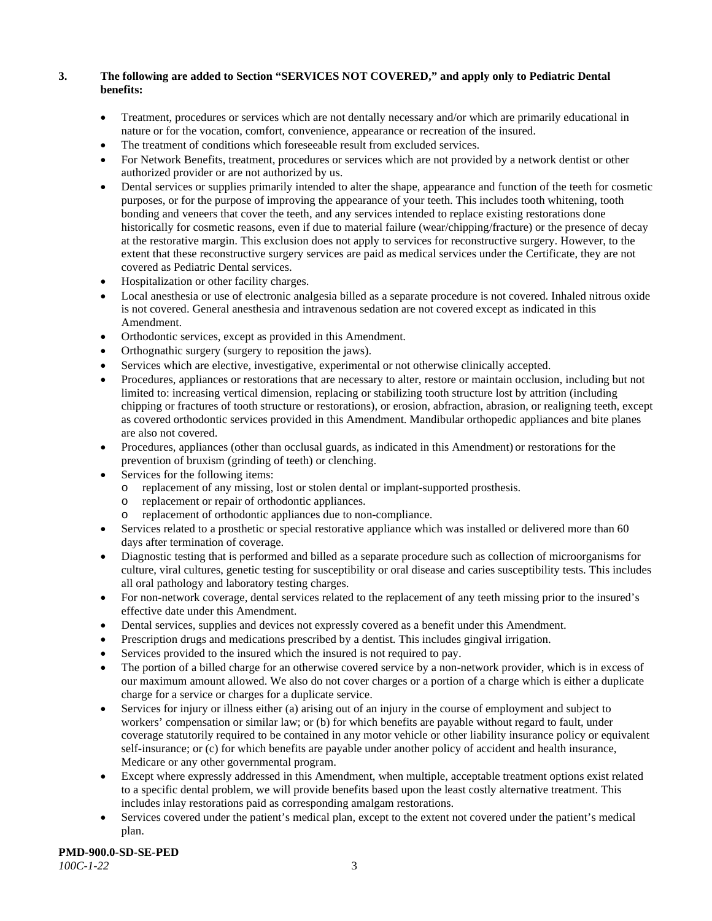# **3. The following are added to Section "SERVICES NOT COVERED," and apply only to Pediatric Dental benefits:**

- Treatment, procedures or services which are not dentally necessary and/or which are primarily educational in nature or for the vocation, comfort, convenience, appearance or recreation of the insured.
- The treatment of conditions which foreseeable result from excluded services.
- For Network Benefits, treatment, procedures or services which are not provided by a network dentist or other authorized provider or are not authorized by us.
- Dental services or supplies primarily intended to alter the shape, appearance and function of the teeth for cosmetic purposes, or for the purpose of improving the appearance of your teeth. This includes tooth whitening, tooth bonding and veneers that cover the teeth, and any services intended to replace existing restorations done historically for cosmetic reasons, even if due to material failure (wear/chipping/fracture) or the presence of decay at the restorative margin. This exclusion does not apply to services for reconstructive surgery. However, to the extent that these reconstructive surgery services are paid as medical services under the Certificate, they are not covered as Pediatric Dental services.
- Hospitalization or other facility charges.
- Local anesthesia or use of electronic analgesia billed as a separate procedure is not covered. Inhaled nitrous oxide is not covered. General anesthesia and intravenous sedation are not covered except as indicated in this Amendment.
- Orthodontic services, except as provided in this Amendment.
- Orthognathic surgery (surgery to reposition the jaws).
- Services which are elective, investigative, experimental or not otherwise clinically accepted.
- Procedures, appliances or restorations that are necessary to alter, restore or maintain occlusion, including but not limited to: increasing vertical dimension, replacing or stabilizing tooth structure lost by attrition (including chipping or fractures of tooth structure or restorations), or erosion, abfraction, abrasion, or realigning teeth, except as covered orthodontic services provided in this Amendment. Mandibular orthopedic appliances and bite planes are also not covered.
- Procedures, appliances (other than occlusal guards, as indicated in this Amendment) or restorations for the prevention of bruxism (grinding of teeth) or clenching.
- Services for the following items:
	- o replacement of any missing, lost or stolen dental or implant-supported prosthesis.
	- replacement or repair of orthodontic appliances.
	- replacement of orthodontic appliances due to non-compliance.
- Services related to a prosthetic or special restorative appliance which was installed or delivered more than 60 days after termination of coverage.
- Diagnostic testing that is performed and billed as a separate procedure such as collection of microorganisms for culture, viral cultures, genetic testing for susceptibility or oral disease and caries susceptibility tests. This includes all oral pathology and laboratory testing charges.
- For non-network coverage, dental services related to the replacement of any teeth missing prior to the insured's effective date under this Amendment.
- Dental services, supplies and devices not expressly covered as a benefit under this Amendment.
- Prescription drugs and medications prescribed by a dentist. This includes gingival irrigation.
- Services provided to the insured which the insured is not required to pay.
- The portion of a billed charge for an otherwise covered service by a non-network provider, which is in excess of our maximum amount allowed. We also do not cover charges or a portion of a charge which is either a duplicate charge for a service or charges for a duplicate service.
- Services for injury or illness either (a) arising out of an injury in the course of employment and subject to workers' compensation or similar law; or (b) for which benefits are payable without regard to fault, under coverage statutorily required to be contained in any motor vehicle or other liability insurance policy or equivalent self-insurance; or (c) for which benefits are payable under another policy of accident and health insurance, Medicare or any other governmental program.
- Except where expressly addressed in this Amendment, when multiple, acceptable treatment options exist related to a specific dental problem, we will provide benefits based upon the least costly alternative treatment. This includes inlay restorations paid as corresponding amalgam restorations.
- Services covered under the patient's medical plan, except to the extent not covered under the patient's medical plan.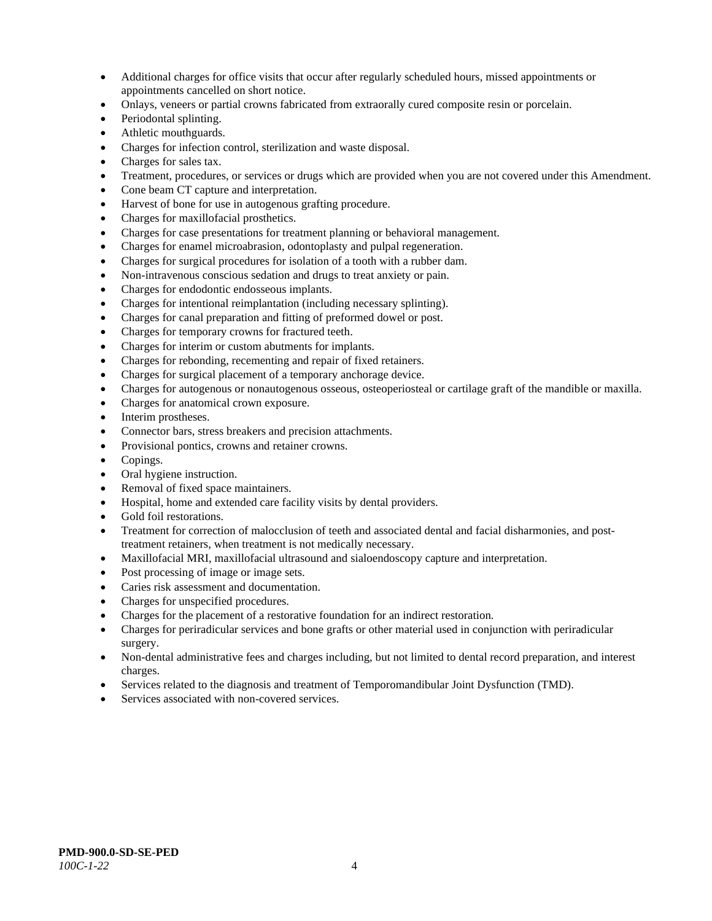- Additional charges for office visits that occur after regularly scheduled hours, missed appointments or appointments cancelled on short notice.
- Onlays, veneers or partial crowns fabricated from extraorally cured composite resin or porcelain.
- Periodontal splinting.
- Athletic mouthguards.
- Charges for infection control, sterilization and waste disposal.
- Charges for sales tax.
- Treatment, procedures, or services or drugs which are provided when you are not covered under this Amendment.
- Cone beam CT capture and interpretation.
- Harvest of bone for use in autogenous grafting procedure.
- Charges for maxillofacial prosthetics.
- Charges for case presentations for treatment planning or behavioral management.
- Charges for enamel microabrasion, odontoplasty and pulpal regeneration.
- Charges for surgical procedures for isolation of a tooth with a rubber dam.
- Non-intravenous conscious sedation and drugs to treat anxiety or pain.
- Charges for endodontic endosseous implants.
- Charges for intentional reimplantation (including necessary splinting).
- Charges for canal preparation and fitting of preformed dowel or post.
- Charges for temporary crowns for fractured teeth.
- Charges for interim or custom abutments for implants.
- Charges for rebonding, recementing and repair of fixed retainers.
- Charges for surgical placement of a temporary anchorage device.
- Charges for autogenous or nonautogenous osseous, osteoperiosteal or cartilage graft of the mandible or maxilla.
- Charges for anatomical crown exposure.
- Interim prostheses.
- Connector bars, stress breakers and precision attachments.
- Provisional pontics, crowns and retainer crowns.
- Copings.
- Oral hygiene instruction.
- Removal of fixed space maintainers.
- Hospital, home and extended care facility visits by dental providers.
- Gold foil restorations.
- Treatment for correction of malocclusion of teeth and associated dental and facial disharmonies, and posttreatment retainers, when treatment is not medically necessary.
- Maxillofacial MRI, maxillofacial ultrasound and sialoendoscopy capture and interpretation.
- Post processing of image or image sets.
- Caries risk assessment and documentation.
- Charges for unspecified procedures.
- Charges for the placement of a restorative foundation for an indirect restoration.
- Charges for periradicular services and bone grafts or other material used in conjunction with periradicular surgery.
- Non-dental administrative fees and charges including, but not limited to dental record preparation, and interest charges.
- Services related to the diagnosis and treatment of Temporomandibular Joint Dysfunction (TMD).
- Services associated with non-covered services.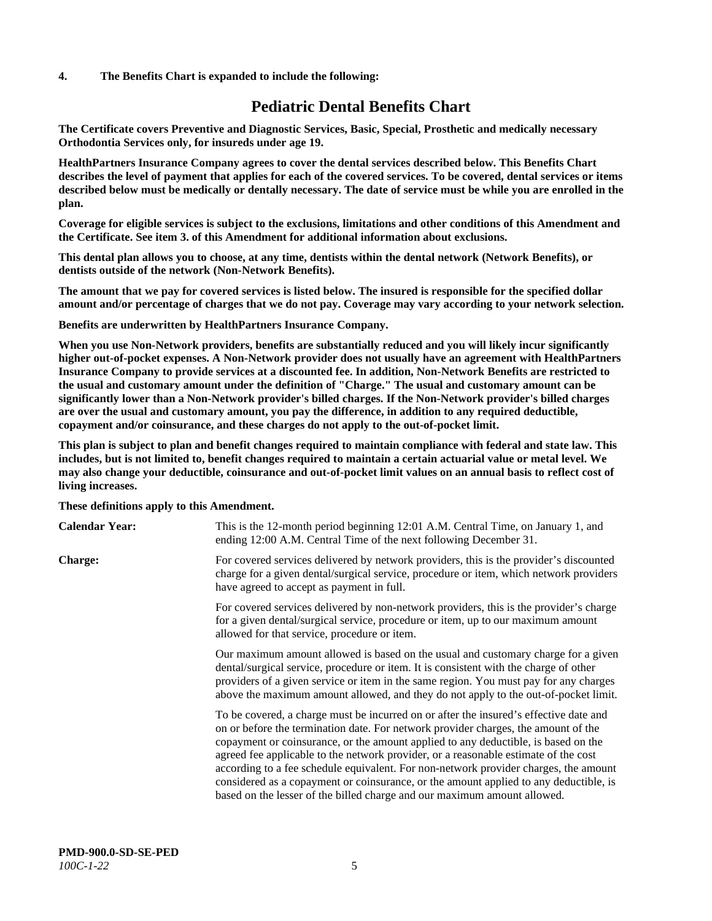#### **4. The Benefits Chart is expanded to include the following:**

# **Pediatric Dental Benefits Chart**

**The Certificate covers Preventive and Diagnostic Services, Basic, Special, Prosthetic and medically necessary Orthodontia Services only, for insureds under age 19.**

**HealthPartners Insurance Company agrees to cover the dental services described below. This Benefits Chart describes the level of payment that applies for each of the covered services. To be covered, dental services or items described below must be medically or dentally necessary. The date of service must be while you are enrolled in the plan.**

**Coverage for eligible services is subject to the exclusions, limitations and other conditions of this Amendment and the Certificate. See item 3. of this Amendment for additional information about exclusions.**

**This dental plan allows you to choose, at any time, dentists within the dental network (Network Benefits), or dentists outside of the network (Non-Network Benefits).**

**The amount that we pay for covered services is listed below. The insured is responsible for the specified dollar amount and/or percentage of charges that we do not pay. Coverage may vary according to your network selection.**

**Benefits are underwritten by HealthPartners Insurance Company.**

**When you use Non-Network providers, benefits are substantially reduced and you will likely incur significantly higher out-of-pocket expenses. A Non-Network provider does not usually have an agreement with HealthPartners Insurance Company to provide services at a discounted fee. In addition, Non-Network Benefits are restricted to the usual and customary amount under the definition of "Charge." The usual and customary amount can be significantly lower than a Non-Network provider's billed charges. If the Non-Network provider's billed charges are over the usual and customary amount, you pay the difference, in addition to any required deductible, copayment and/or coinsurance, and these charges do not apply to the out-of-pocket limit.**

**This plan is subject to plan and benefit changes required to maintain compliance with federal and state law. This includes, but is not limited to, benefit changes required to maintain a certain actuarial value or metal level. We may also change your deductible, coinsurance and out-of-pocket limit values on an annual basis to reflect cost of living increases.**

#### **These definitions apply to this Amendment.**

| <b>Calendar Year:</b> | This is the 12-month period beginning 12:01 A.M. Central Time, on January 1, and<br>ending 12:00 A.M. Central Time of the next following December 31.                                                                                                                                                                                                                                                                                                                                                                                                                                                                 |
|-----------------------|-----------------------------------------------------------------------------------------------------------------------------------------------------------------------------------------------------------------------------------------------------------------------------------------------------------------------------------------------------------------------------------------------------------------------------------------------------------------------------------------------------------------------------------------------------------------------------------------------------------------------|
| <b>Charge:</b>        | For covered services delivered by network providers, this is the provider's discounted<br>charge for a given dental/surgical service, procedure or item, which network providers<br>have agreed to accept as payment in full.                                                                                                                                                                                                                                                                                                                                                                                         |
|                       | For covered services delivered by non-network providers, this is the provider's charge<br>for a given dental/surgical service, procedure or item, up to our maximum amount<br>allowed for that service, procedure or item.                                                                                                                                                                                                                                                                                                                                                                                            |
|                       | Our maximum amount allowed is based on the usual and customary charge for a given<br>dental/surgical service, procedure or item. It is consistent with the charge of other<br>providers of a given service or item in the same region. You must pay for any charges<br>above the maximum amount allowed, and they do not apply to the out-of-pocket limit.                                                                                                                                                                                                                                                            |
|                       | To be covered, a charge must be incurred on or after the insured's effective date and<br>on or before the termination date. For network provider charges, the amount of the<br>copayment or coinsurance, or the amount applied to any deductible, is based on the<br>agreed fee applicable to the network provider, or a reasonable estimate of the cost<br>according to a fee schedule equivalent. For non-network provider charges, the amount<br>considered as a copayment or coinsurance, or the amount applied to any deductible, is<br>based on the lesser of the billed charge and our maximum amount allowed. |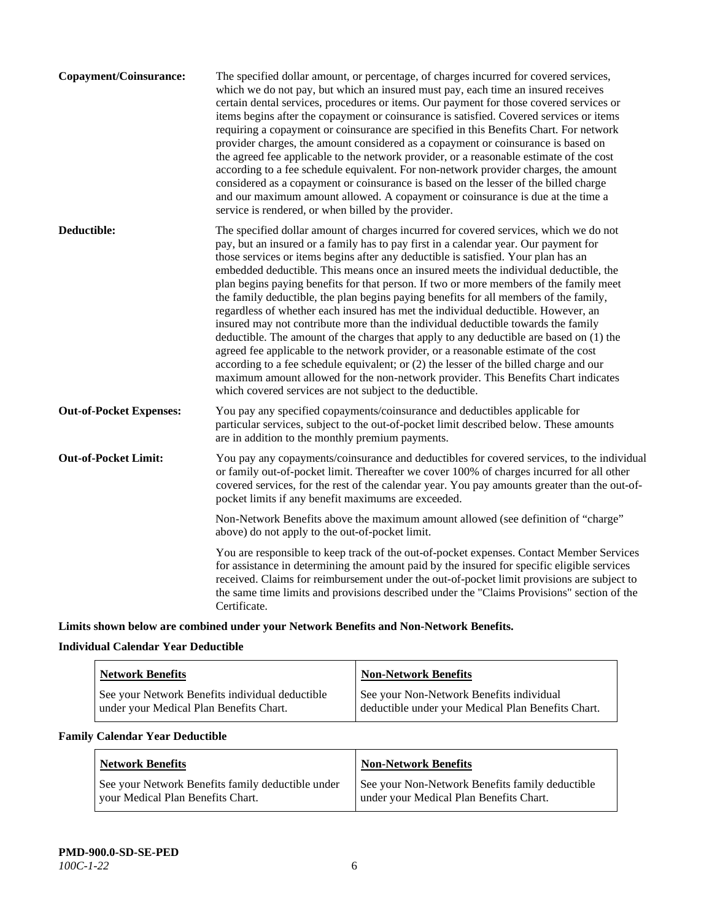| The specified dollar amount, or percentage, of charges incurred for covered services,<br>which we do not pay, but which an insured must pay, each time an insured receives<br>certain dental services, procedures or items. Our payment for those covered services or<br>items begins after the copayment or coinsurance is satisfied. Covered services or items<br>requiring a copayment or coinsurance are specified in this Benefits Chart. For network<br>provider charges, the amount considered as a copayment or coinsurance is based on<br>the agreed fee applicable to the network provider, or a reasonable estimate of the cost<br>according to a fee schedule equivalent. For non-network provider charges, the amount<br>considered as a copayment or coinsurance is based on the lesser of the billed charge<br>and our maximum amount allowed. A copayment or coinsurance is due at the time a<br>service is rendered, or when billed by the provider.                                                                                                                                                                                   |
|---------------------------------------------------------------------------------------------------------------------------------------------------------------------------------------------------------------------------------------------------------------------------------------------------------------------------------------------------------------------------------------------------------------------------------------------------------------------------------------------------------------------------------------------------------------------------------------------------------------------------------------------------------------------------------------------------------------------------------------------------------------------------------------------------------------------------------------------------------------------------------------------------------------------------------------------------------------------------------------------------------------------------------------------------------------------------------------------------------------------------------------------------------|
| The specified dollar amount of charges incurred for covered services, which we do not<br>pay, but an insured or a family has to pay first in a calendar year. Our payment for<br>those services or items begins after any deductible is satisfied. Your plan has an<br>embedded deductible. This means once an insured meets the individual deductible, the<br>plan begins paying benefits for that person. If two or more members of the family meet<br>the family deductible, the plan begins paying benefits for all members of the family,<br>regardless of whether each insured has met the individual deductible. However, an<br>insured may not contribute more than the individual deductible towards the family<br>deductible. The amount of the charges that apply to any deductible are based on (1) the<br>agreed fee applicable to the network provider, or a reasonable estimate of the cost<br>according to a fee schedule equivalent; or (2) the lesser of the billed charge and our<br>maximum amount allowed for the non-network provider. This Benefits Chart indicates<br>which covered services are not subject to the deductible. |
| You pay any specified copayments/coinsurance and deductibles applicable for<br>particular services, subject to the out-of-pocket limit described below. These amounts<br>are in addition to the monthly premium payments.                                                                                                                                                                                                                                                                                                                                                                                                                                                                                                                                                                                                                                                                                                                                                                                                                                                                                                                               |
| You pay any copayments/coinsurance and deductibles for covered services, to the individual<br>or family out-of-pocket limit. Thereafter we cover 100% of charges incurred for all other<br>covered services, for the rest of the calendar year. You pay amounts greater than the out-of-<br>pocket limits if any benefit maximums are exceeded.                                                                                                                                                                                                                                                                                                                                                                                                                                                                                                                                                                                                                                                                                                                                                                                                         |
| Non-Network Benefits above the maximum amount allowed (see definition of "charge"<br>above) do not apply to the out-of-pocket limit.                                                                                                                                                                                                                                                                                                                                                                                                                                                                                                                                                                                                                                                                                                                                                                                                                                                                                                                                                                                                                    |
| You are responsible to keep track of the out-of-pocket expenses. Contact Member Services<br>for assistance in determining the amount paid by the insured for specific eligible services<br>received. Claims for reimbursement under the out-of-pocket limit provisions are subject to<br>the same time limits and provisions described under the "Claims Provisions" section of the<br>Certificate.                                                                                                                                                                                                                                                                                                                                                                                                                                                                                                                                                                                                                                                                                                                                                     |
|                                                                                                                                                                                                                                                                                                                                                                                                                                                                                                                                                                                                                                                                                                                                                                                                                                                                                                                                                                                                                                                                                                                                                         |

**Limits shown below are combined under your Network Benefits and Non-Network Benefits.**

# **Individual Calendar Year Deductible**

| <b>Network Benefits</b>                                                                    | <b>Non-Network Benefits</b>                                                                    |
|--------------------------------------------------------------------------------------------|------------------------------------------------------------------------------------------------|
| See your Network Benefits individual deductible<br>under your Medical Plan Benefits Chart. | See your Non-Network Benefits individual<br>deductible under your Medical Plan Benefits Chart. |

# **Family Calendar Year Deductible**

| <b>Network Benefits</b>                           | <b>Non-Network Benefits</b>                     |
|---------------------------------------------------|-------------------------------------------------|
| See your Network Benefits family deductible under | See your Non-Network Benefits family deductible |
| vour Medical Plan Benefits Chart.                 | under your Medical Plan Benefits Chart.         |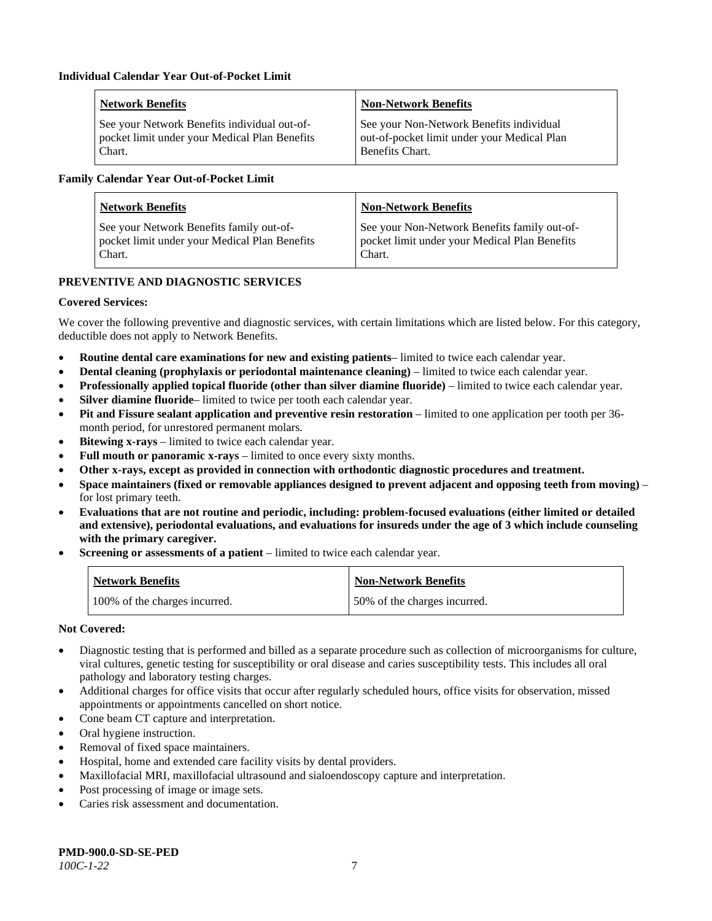| <b>Network Benefits</b>                       | <b>Non-Network Benefits</b>                 |
|-----------------------------------------------|---------------------------------------------|
| See your Network Benefits individual out-of-  | See your Non-Network Benefits individual    |
| pocket limit under your Medical Plan Benefits | out-of-pocket limit under your Medical Plan |
| Chart.                                        | Benefits Chart.                             |

#### **Family Calendar Year Out-of-Pocket Limit**

| <b>Network Benefits</b>                       | <b>Non-Network Benefits</b>                   |
|-----------------------------------------------|-----------------------------------------------|
| See your Network Benefits family out-of-      | See your Non-Network Benefits family out-of-  |
| pocket limit under your Medical Plan Benefits | pocket limit under your Medical Plan Benefits |
| Chart.                                        | Chart.                                        |

# **PREVENTIVE AND DIAGNOSTIC SERVICES**

### **Covered Services:**

We cover the following preventive and diagnostic services, with certain limitations which are listed below. For this category, deductible does not apply to Network Benefits.

- **Routine dental care examinations for new and existing patients** limited to twice each calendar year.
- **Dental cleaning (prophylaxis or periodontal maintenance cleaning)** limited to twice each calendar year.
- **Professionally applied topical fluoride (other than silver diamine fluoride)** limited to twice each calendar year.
- **Silver diamine fluoride** limited to twice per tooth each calendar year.
- **Pit and Fissure sealant application and preventive resin restoration** limited to one application per tooth per 36 month period, for unrestored permanent molars.
- **Bitewing x-rays** limited to twice each calendar year.
- **Full mouth or panoramic x-rays** limited to once every sixty months.
- **Other x-rays, except as provided in connection with orthodontic diagnostic procedures and treatment.**
- **Space maintainers (fixed or removable appliances designed to prevent adjacent and opposing teeth from moving)** for lost primary teeth.
- **Evaluations that are not routine and periodic, including: problem-focused evaluations (either limited or detailed and extensive), periodontal evaluations, and evaluations for insureds under the age of 3 which include counseling with the primary caregiver.**
- **Screening or assessments of a patient** limited to twice each calendar year.

| <b>Network Benefits</b>       | <b>Non-Network Benefits</b>  |
|-------------------------------|------------------------------|
| 100% of the charges incurred. | 50% of the charges incurred. |

- Diagnostic testing that is performed and billed as a separate procedure such as collection of microorganisms for culture, viral cultures, genetic testing for susceptibility or oral disease and caries susceptibility tests. This includes all oral pathology and laboratory testing charges.
- Additional charges for office visits that occur after regularly scheduled hours, office visits for observation, missed appointments or appointments cancelled on short notice.
- Cone beam CT capture and interpretation.
- Oral hygiene instruction.
- Removal of fixed space maintainers.
- Hospital, home and extended care facility visits by dental providers.
- Maxillofacial MRI, maxillofacial ultrasound and sialoendoscopy capture and interpretation.
- Post processing of image or image sets.
- Caries risk assessment and documentation.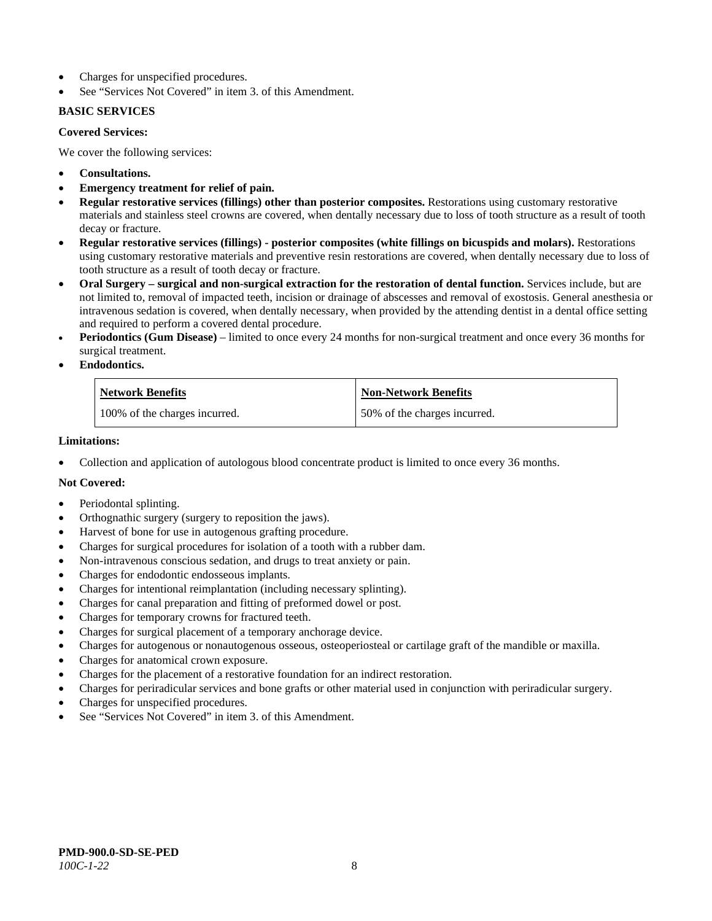- Charges for unspecified procedures.
- See "Services Not Covered" in item 3. of this Amendment.

### **BASIC SERVICES**

#### **Covered Services:**

We cover the following services:

- **Consultations.**
- **Emergency treatment for relief of pain.**
- **Regular restorative services (fillings) other than posterior composites.** Restorations using customary restorative materials and stainless steel crowns are covered, when dentally necessary due to loss of tooth structure as a result of tooth decay or fracture.
- **Regular restorative services (fillings) - posterior composites (white fillings on bicuspids and molars).** Restorations using customary restorative materials and preventive resin restorations are covered, when dentally necessary due to loss of tooth structure as a result of tooth decay or fracture.
- **Oral Surgery – surgical and non-surgical extraction for the restoration of dental function.** Services include, but are not limited to, removal of impacted teeth, incision or drainage of abscesses and removal of exostosis. General anesthesia or intravenous sedation is covered, when dentally necessary, when provided by the attending dentist in a dental office setting and required to perform a covered dental procedure.
- **Periodontics (Gum Disease)** limited to once every 24 months for non-surgical treatment and once every 36 months for surgical treatment.
- **Endodontics.**

| <b>Network Benefits</b>       | <b>Non-Network Benefits</b>  |
|-------------------------------|------------------------------|
| 100% of the charges incurred. | 50% of the charges incurred. |

#### **Limitations:**

• Collection and application of autologous blood concentrate product is limited to once every 36 months.

- Periodontal splinting.
- Orthognathic surgery (surgery to reposition the jaws).
- Harvest of bone for use in autogenous grafting procedure.
- Charges for surgical procedures for isolation of a tooth with a rubber dam.
- Non-intravenous conscious sedation, and drugs to treat anxiety or pain.
- Charges for endodontic endosseous implants.
- Charges for intentional reimplantation (including necessary splinting).
- Charges for canal preparation and fitting of preformed dowel or post.
- Charges for temporary crowns for fractured teeth.
- Charges for surgical placement of a temporary anchorage device.
- Charges for autogenous or nonautogenous osseous, osteoperiosteal or cartilage graft of the mandible or maxilla.
- Charges for anatomical crown exposure.
- Charges for the placement of a restorative foundation for an indirect restoration.
- Charges for periradicular services and bone grafts or other material used in conjunction with periradicular surgery.
- Charges for unspecified procedures.
- See "Services Not Covered" in item 3. of this Amendment.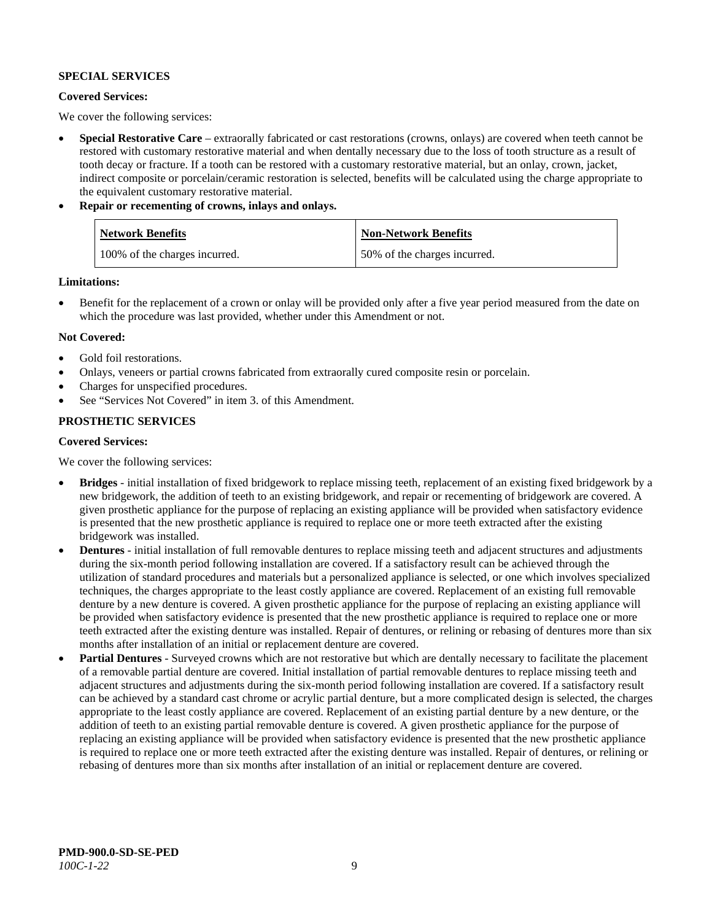### **SPECIAL SERVICES**

#### **Covered Services:**

We cover the following services:

- **Special Restorative Care** extraorally fabricated or cast restorations (crowns, onlays) are covered when teeth cannot be restored with customary restorative material and when dentally necessary due to the loss of tooth structure as a result of tooth decay or fracture. If a tooth can be restored with a customary restorative material, but an onlay, crown, jacket, indirect composite or porcelain/ceramic restoration is selected, benefits will be calculated using the charge appropriate to the equivalent customary restorative material.
- **Repair or recementing of crowns, inlays and onlays.**

| <b>Network Benefits</b>       | <b>Non-Network Benefits</b>  |
|-------------------------------|------------------------------|
| 100% of the charges incurred. | 50% of the charges incurred. |

**Limitations:**

• Benefit for the replacement of a crown or onlay will be provided only after a five year period measured from the date on which the procedure was last provided, whether under this Amendment or not.

### **Not Covered:**

- Gold foil restorations.
- Onlays, veneers or partial crowns fabricated from extraorally cured composite resin or porcelain.
- Charges for unspecified procedures.
- See "Services Not Covered" in item 3. of this Amendment.

# **PROSTHETIC SERVICES**

#### **Covered Services:**

We cover the following services:

- **Bridges** initial installation of fixed bridgework to replace missing teeth, replacement of an existing fixed bridgework by a new bridgework, the addition of teeth to an existing bridgework, and repair or recementing of bridgework are covered. A given prosthetic appliance for the purpose of replacing an existing appliance will be provided when satisfactory evidence is presented that the new prosthetic appliance is required to replace one or more teeth extracted after the existing bridgework was installed.
- **Dentures** initial installation of full removable dentures to replace missing teeth and adjacent structures and adjustments during the six-month period following installation are covered. If a satisfactory result can be achieved through the utilization of standard procedures and materials but a personalized appliance is selected, or one which involves specialized techniques, the charges appropriate to the least costly appliance are covered. Replacement of an existing full removable denture by a new denture is covered. A given prosthetic appliance for the purpose of replacing an existing appliance will be provided when satisfactory evidence is presented that the new prosthetic appliance is required to replace one or more teeth extracted after the existing denture was installed. Repair of dentures, or relining or rebasing of dentures more than six months after installation of an initial or replacement denture are covered.
- **Partial Dentures** Surveyed crowns which are not restorative but which are dentally necessary to facilitate the placement of a removable partial denture are covered. Initial installation of partial removable dentures to replace missing teeth and adjacent structures and adjustments during the six-month period following installation are covered. If a satisfactory result can be achieved by a standard cast chrome or acrylic partial denture, but a more complicated design is selected, the charges appropriate to the least costly appliance are covered. Replacement of an existing partial denture by a new denture, or the addition of teeth to an existing partial removable denture is covered. A given prosthetic appliance for the purpose of replacing an existing appliance will be provided when satisfactory evidence is presented that the new prosthetic appliance is required to replace one or more teeth extracted after the existing denture was installed. Repair of dentures, or relining or rebasing of dentures more than six months after installation of an initial or replacement denture are covered.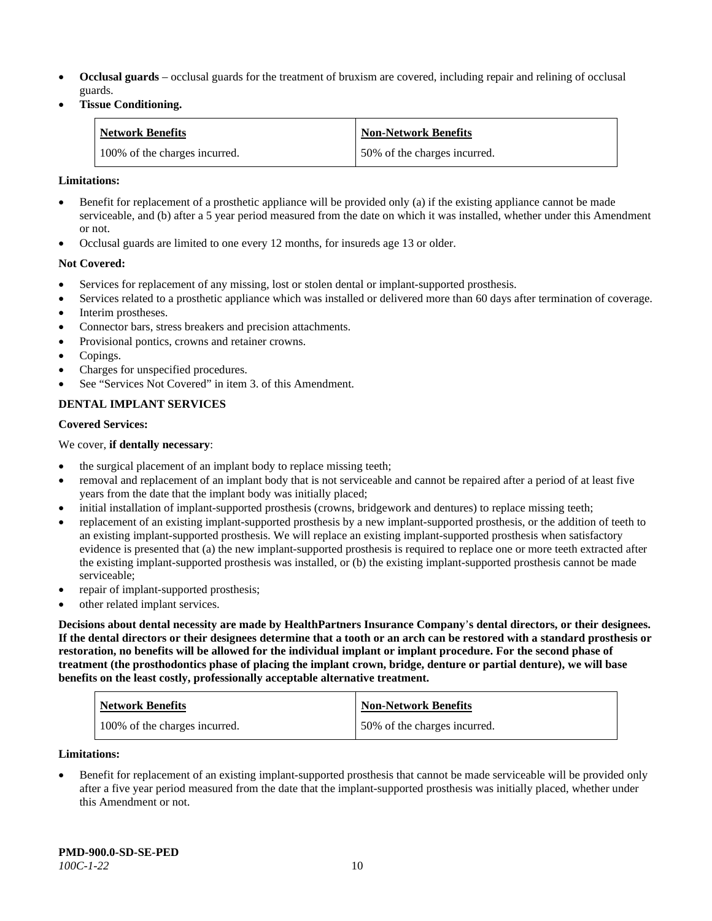- **Occlusal guards** occlusal guards for the treatment of bruxism are covered, including repair and relining of occlusal guards.
- **Tissue Conditioning.**

| <b>Network Benefits</b>       | <b>Non-Network Benefits</b>  |
|-------------------------------|------------------------------|
| 100% of the charges incurred. | 50% of the charges incurred. |

#### **Limitations:**

- Benefit for replacement of a prosthetic appliance will be provided only (a) if the existing appliance cannot be made serviceable, and (b) after a 5 year period measured from the date on which it was installed, whether under this Amendment or not.
- Occlusal guards are limited to one every 12 months, for insureds age 13 or older.

#### **Not Covered:**

- Services for replacement of any missing, lost or stolen dental or implant-supported prosthesis.
- Services related to a prosthetic appliance which was installed or delivered more than 60 days after termination of coverage. Interim prostheses.
- Connector bars, stress breakers and precision attachments.
- Provisional pontics, crowns and retainer crowns.
- Copings.
- Charges for unspecified procedures.
- See "Services Not Covered" in item 3. of this Amendment.

### **DENTAL IMPLANT SERVICES**

#### **Covered Services:**

#### We cover, **if dentally necessary**:

- the surgical placement of an implant body to replace missing teeth;
- removal and replacement of an implant body that is not serviceable and cannot be repaired after a period of at least five years from the date that the implant body was initially placed;
- initial installation of implant-supported prosthesis (crowns, bridgework and dentures) to replace missing teeth;
- replacement of an existing implant-supported prosthesis by a new implant-supported prosthesis, or the addition of teeth to an existing implant-supported prosthesis. We will replace an existing implant-supported prosthesis when satisfactory evidence is presented that (a) the new implant-supported prosthesis is required to replace one or more teeth extracted after the existing implant-supported prosthesis was installed, or (b) the existing implant-supported prosthesis cannot be made serviceable;
- repair of implant-supported prosthesis;
- other related implant services.

**Decisions about dental necessity are made by HealthPartners Insurance Company**'**s dental directors, or their designees. If the dental directors or their designees determine that a tooth or an arch can be restored with a standard prosthesis or restoration, no benefits will be allowed for the individual implant or implant procedure. For the second phase of treatment (the prosthodontics phase of placing the implant crown, bridge, denture or partial denture), we will base benefits on the least costly, professionally acceptable alternative treatment.**

| <b>Network Benefits</b>       | <b>Non-Network Benefits</b>  |
|-------------------------------|------------------------------|
| 100% of the charges incurred. | 50% of the charges incurred. |

#### **Limitations:**

• Benefit for replacement of an existing implant-supported prosthesis that cannot be made serviceable will be provided only after a five year period measured from the date that the implant-supported prosthesis was initially placed, whether under this Amendment or not.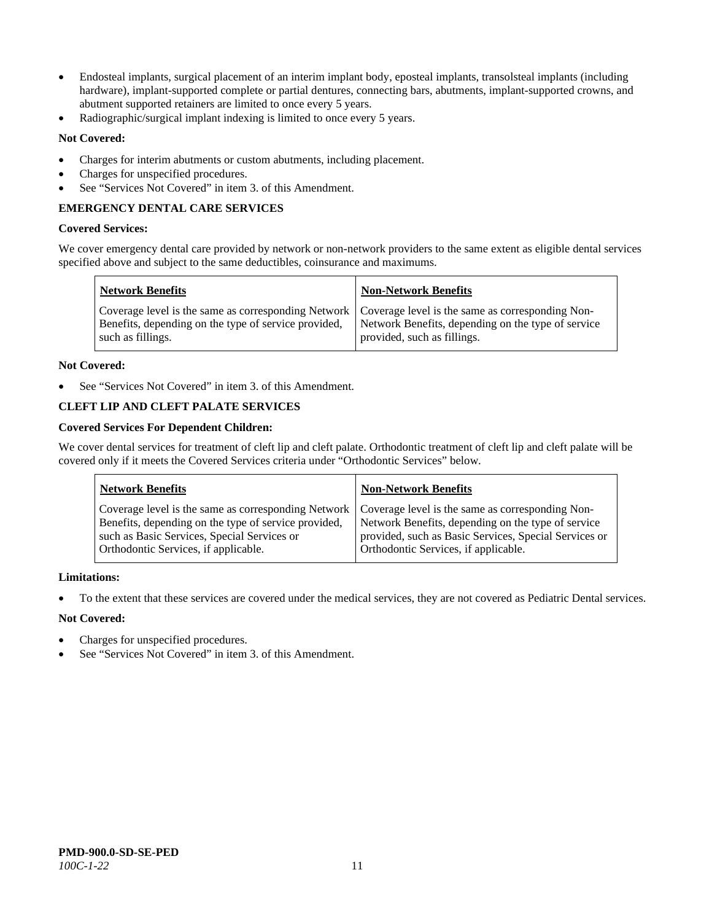- Endosteal implants, surgical placement of an interim implant body, eposteal implants, transolsteal implants (including hardware), implant-supported complete or partial dentures, connecting bars, abutments, implant-supported crowns, and abutment supported retainers are limited to once every 5 years.
- Radiographic/surgical implant indexing is limited to once every 5 years.

# **Not Covered:**

- Charges for interim abutments or custom abutments, including placement.
- Charges for unspecified procedures.
- See "Services Not Covered" in item 3. of this Amendment.

# **EMERGENCY DENTAL CARE SERVICES**

#### **Covered Services:**

We cover emergency dental care provided by network or non-network providers to the same extent as eligible dental services specified above and subject to the same deductibles, coinsurance and maximums.

| <b>Network Benefits</b>                                                                                                                                                             | <b>Non-Network Benefits</b>                                                       |
|-------------------------------------------------------------------------------------------------------------------------------------------------------------------------------------|-----------------------------------------------------------------------------------|
| Coverage level is the same as corresponding Network   Coverage level is the same as corresponding Non-<br>Benefits, depending on the type of service provided,<br>such as fillings. | Network Benefits, depending on the type of service<br>provided, such as fillings. |

#### **Not Covered:**

See "Services Not Covered" in item 3. of this Amendment.

# **CLEFT LIP AND CLEFT PALATE SERVICES**

### **Covered Services For Dependent Children:**

We cover dental services for treatment of cleft lip and cleft palate. Orthodontic treatment of cleft lip and cleft palate will be covered only if it meets the Covered Services criteria under "Orthodontic Services" below.

| <b>Network Benefits</b>                              | <b>Non-Network Benefits</b>                           |
|------------------------------------------------------|-------------------------------------------------------|
| Coverage level is the same as corresponding Network  | Coverage level is the same as corresponding Non-      |
| Benefits, depending on the type of service provided, | Network Benefits, depending on the type of service    |
| such as Basic Services, Special Services or          | provided, such as Basic Services, Special Services or |
| Orthodontic Services, if applicable.                 | Orthodontic Services, if applicable.                  |

#### **Limitations:**

• To the extent that these services are covered under the medical services, they are not covered as Pediatric Dental services.

- Charges for unspecified procedures.
- See "Services Not Covered" in item 3. of this Amendment.